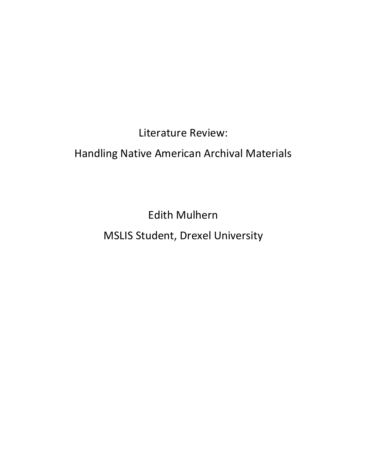Literature Review: Handling Native American Archival Materials

> Edith Mulhern MSLIS Student, Drexel University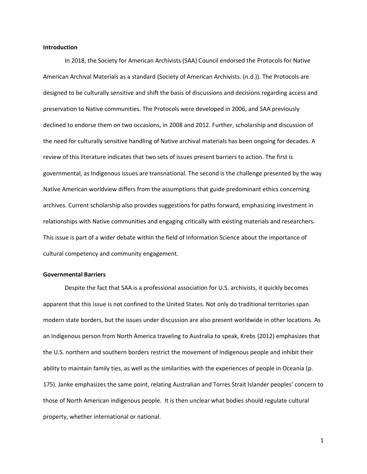## **Introduction**

In 2018, the Society for American Archivists (SAA) Council endorsed the Protocols for Native American Archival Materials as a standard (Society of American Archivists. (n.d.)). The Protocols are designed to be culturally sensitive and shift the basis of discussions and decisions regarding access and preservation to Native communities. The Protocols were developed in 2006, and SAA previously declined to endorse them on two occasions, in 2008 and 2012. Further, scholarship and discussion of the need for culturally sensitive handling of Native archival materials has been ongoing for decades. A review of this literature indicates that two sets of issues present barriers to action. The first is governmental, as Indigenous issues are transnational. The second is the challenge presented by the way Native American worldview differs from the assumptions that guide predominant ethics concerning archives. Current scholarship also provides suggestions for paths forward, emphasizing investment in relationships with Native communities and engaging critically with existing materials and researchers. This issue is part of a wider debate within the field of Information Science about the importance of cultural competency and community engagement.

## **Governmental Barriers**

Despite the fact that SAA is a professional association for U.S. archivists, it quickly becomes apparent that this issue is not confined to the United States. Not only do traditional territories span modern state borders, but the issues under discussion are also present worldwide in other locations. As an Indigenous person from North America traveling to Australia to speak, Krebs (2012) emphasizes that the U.S. northern and southern borders restrict the movement of Indigenous people and inhibit their ability to maintain family ties, as well as the similarities with the experiences of people in Oceania (p. 175). Janke emphasizes the same point, relating Australian and Torres Strait Islander peoples' concern to those of North American indigenous people. It is then unclear what bodies should regulate cultural property, whether international or national.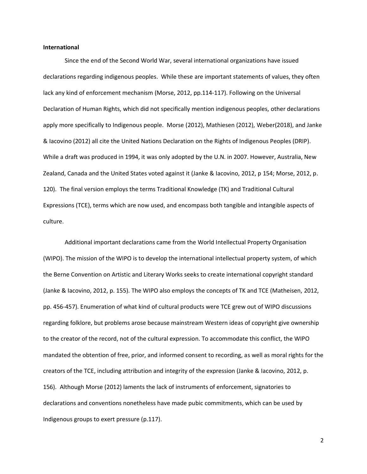## **International**

Since the end of the Second World War, several international organizations have issued declarations regarding indigenous peoples. While these are important statements of values, they often lack any kind of enforcement mechanism (Morse, 2012, pp.114-117). Following on the Universal Declaration of Human Rights, which did not specifically mention indigenous peoples, other declarations apply more specifically to Indigenous people. Morse (2012), Mathiesen (2012), Weber(2018), and Janke & Iacovino (2012) all cite the United Nations Declaration on the Rights of Indigenous Peoples (DRIP). While a draft was produced in 1994, it was only adopted by the U.N. in 2007. However, Australia, New Zealand, Canada and the United States voted against it (Janke & Iacovino, 2012, p 154; Morse, 2012, p. 120). The final version employs the terms Traditional Knowledge (TK) and Traditional Cultural Expressions (TCE), terms which are now used, and encompass both tangible and intangible aspects of culture.

Additional important declarations came from the World Intellectual Property Organisation (WIPO). The mission of the WIPO is to develop the international intellectual property system, of which the Berne Convention on Artistic and Literary Works seeks to create international copyright standard (Janke & Iacovino, 2012, p. 155). The WIPO also employs the concepts of TK and TCE (Matheisen, 2012, pp. 456-457). Enumeration of what kind of cultural products were TCE grew out of WIPO discussions regarding folklore, but problems arose because mainstream Western ideas of copyright give ownership to the creator of the record, not of the cultural expression. To accommodate this conflict, the WIPO mandated the obtention of free, prior, and informed consent to recording, as well as moral rights for the creators of the TCE, including attribution and integrity of the expression (Janke & Iacovino, 2012, p. 156). Although Morse (2012) laments the lack of instruments of enforcement, signatories to declarations and conventions nonetheless have made pubic commitments, which can be used by Indigenous groups to exert pressure (p.117).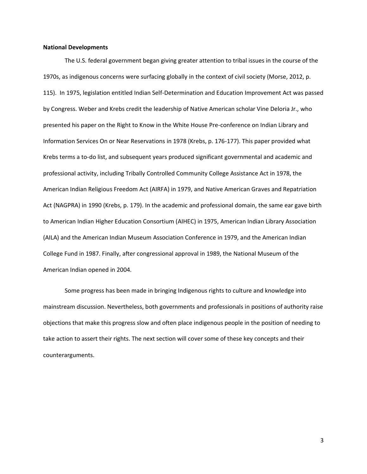## **National Developments**

The U.S. federal government began giving greater attention to tribal issues in the course of the 1970s, as indigenous concerns were surfacing globally in the context of civil society (Morse, 2012, p. 115). In 1975, legislation entitled Indian Self-Determination and Education Improvement Act was passed by Congress. Weber and Krebs credit the leadership of Native American scholar Vine Deloria Jr., who presented his paper on the Right to Know in the White House Pre-conference on Indian Library and Information Services On or Near Reservations in 1978 (Krebs, p. 176-177). This paper provided what Krebs terms a to-do list, and subsequent years produced significant governmental and academic and professional activity, including Tribally Controlled Community College Assistance Act in 1978, the American Indian Religious Freedom Act (AIRFA) in 1979, and Native American Graves and Repatriation Act (NAGPRA) in 1990 (Krebs, p. 179). In the academic and professional domain, the same ear gave birth to American Indian Higher Education Consortium (AIHEC) in 1975, American Indian Library Association (AILA) and the American Indian Museum Association Conference in 1979, and the American Indian College Fund in 1987. Finally, after congressional approval in 1989, the National Museum of the American Indian opened in 2004.

Some progress has been made in bringing Indigenous rights to culture and knowledge into mainstream discussion. Nevertheless, both governments and professionals in positions of authority raise objections that make this progress slow and often place indigenous people in the position of needing to take action to assert their rights. The next section will cover some of these key concepts and their counterarguments.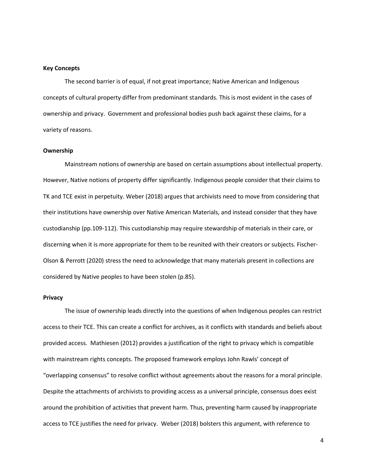#### **Key Concepts**

The second barrier is of equal, if not great importance; Native American and Indigenous concepts of cultural property differ from predominant standards. This is most evident in the cases of ownership and privacy. Government and professional bodies push back against these claims, for a variety of reasons.

#### **Ownership**

Mainstream notions of ownership are based on certain assumptions about intellectual property. However, Native notions of property differ significantly. Indigenous people consider that their claims to TK and TCE exist in perpetuity. Weber (2018) argues that archivists need to move from considering that their institutions have ownership over Native American Materials, and instead consider that they have custodianship (pp.109-112). This custodianship may require stewardship of materials in their care, or discerning when it is more appropriate for them to be reunited with their creators or subjects. Fischer-Olson & Perrott (2020) stress the need to acknowledge that many materials present in collections are considered by Native peoples to have been stolen (p.85).

## **Privacy**

The issue of ownership leads directly into the questions of when Indigenous peoples can restrict access to their TCE. This can create a conflict for archives, as it conflicts with standards and beliefs about provided access. Mathiesen (2012) provides a justification of the right to privacy which is compatible with mainstream rights concepts. The proposed framework employs John Rawls' concept of "overlapping consensus" to resolve conflict without agreements about the reasons for a moral principle. Despite the attachments of archivists to providing access as a universal principle, consensus does exist around the prohibition of activities that prevent harm. Thus, preventing harm caused by inappropriate access to TCE justifies the need for privacy. Weber (2018) bolsters this argument, with reference to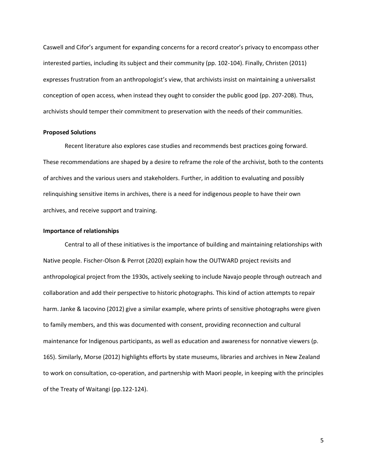Caswell and Cifor's argument for expanding concerns for a record creator's privacy to encompass other interested parties, including its subject and their community (pp. 102-104). Finally, Christen (2011) expresses frustration from an anthropologist's view, that archivists insist on maintaining a universalist conception of open access, when instead they ought to consider the public good (pp. 207-208). Thus, archivists should temper their commitment to preservation with the needs of their communities.

#### **Proposed Solutions**

Recent literature also explores case studies and recommends best practices going forward. These recommendations are shaped by a desire to reframe the role of the archivist, both to the contents of archives and the various users and stakeholders. Further, in addition to evaluating and possibly relinquishing sensitive items in archives, there is a need for indigenous people to have their own archives, and receive support and training.

## **Importance of relationships**

Central to all of these initiatives is the importance of building and maintaining relationships with Native people. Fischer-Olson & Perrot (2020) explain how the OUTWARD project revisits and anthropological project from the 1930s, actively seeking to include Navajo people through outreach and collaboration and add their perspective to historic photographs. This kind of action attempts to repair harm. Janke & Iacovino (2012) give a similar example, where prints of sensitive photographs were given to family members, and this was documented with consent, providing reconnection and cultural maintenance for Indigenous participants, as well as education and awareness for nonnative viewers (p. 165). Similarly, Morse (2012) highlights efforts by state museums, libraries and archives in New Zealand to work on consultation, co-operation, and partnership with Maori people, in keeping with the principles of the Treaty of Waitangi (pp.122-124).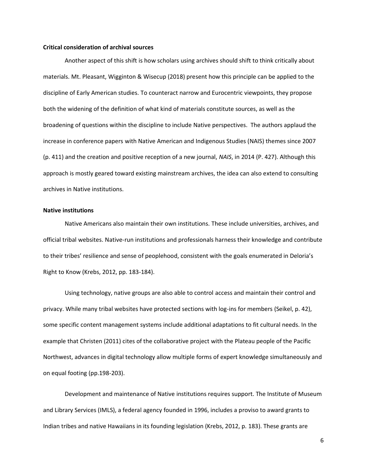## **Critical consideration of archival sources**

Another aspect of this shift is how scholars using archives should shift to think critically about materials. Mt. Pleasant, Wigginton & Wisecup (2018) present how this principle can be applied to the discipline of Early American studies. To counteract narrow and Eurocentric viewpoints, they propose both the widening of the definition of what kind of materials constitute sources, as well as the broadening of questions within the discipline to include Native perspectives. The authors applaud the increase in conference papers with Native American and Indigenous Studies (NAIS) themes since 2007 (p. 411) and the creation and positive reception of a new journal, *NAIS*, in 2014 (P. 427). Although this approach is mostly geared toward existing mainstream archives, the idea can also extend to consulting archives in Native institutions.

#### **Native institutions**

Native Americans also maintain their own institutions. These include universities, archives, and official tribal websites. Native-run institutions and professionals harness their knowledge and contribute to their tribes' resilience and sense of peoplehood, consistent with the goals enumerated in Deloria's Right to Know (Krebs, 2012, pp. 183-184).

Using technology, native groups are also able to control access and maintain their control and privacy. While many tribal websites have protected sections with log-ins for members (Seikel, p. 42), some specific content management systems include additional adaptations to fit cultural needs. In the example that Christen (2011) cites of the collaborative project with the Plateau people of the Pacific Northwest, advances in digital technology allow multiple forms of expert knowledge simultaneously and on equal footing (pp.198-203).

Development and maintenance of Native institutions requires support. The Institute of Museum and Library Services (IMLS), a federal agency founded in 1996, includes a proviso to award grants to Indian tribes and native Hawaiians in its founding legislation (Krebs, 2012, p. 183). These grants are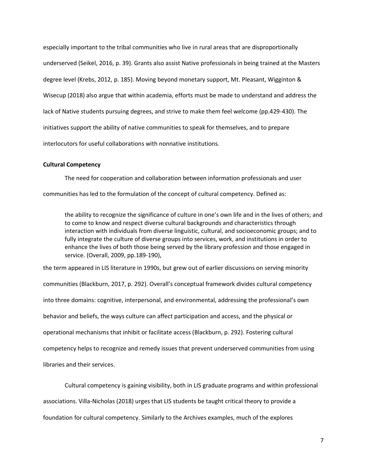especially important to the tribal communities who live in rural areas that are disproportionally underserved (Seikel, 2016, p. 39). Grants also assist Native professionals in being trained at the Masters degree level (Krebs, 2012, p. 185). Moving beyond monetary support, Mt. Pleasant, Wigginton & Wisecup (2018) also argue that within academia, efforts must be made to understand and address the lack of Native students pursuing degrees, and strive to make them feel welcome (pp.429-430). The initiatives support the ability of native communities to speak for themselves, and to prepare interlocutors for useful collaborations with nonnative institutions.

## **Cultural Competency**

The need for cooperation and collaboration between information professionals and user

communities has led to the formulation of the concept of cultural competency. Defined as:

the ability to recognize the significance of culture in one's own life and in the lives of others; and to come to know and respect diverse cultural backgrounds and characteristics through interaction with individuals from diverse linguistic, cultural, and socioeconomic groups; and to fully integrate the culture of diverse groups into services, work, and institutions in order to enhance the lives of both those being served by the library profession and those engaged in service. (Overall, 2009, pp.189-190),

the term appeared in LIS literature in 1990s, but grew out of earlier discussions on serving minority communities (Blackburn, 2017, p. 292). Overall's conceptual framework divides cultural competency into three domains: cognitive, interpersonal, and environmental, addressing the professional's own behavior and beliefs, the ways culture can affect participation and access, and the physical or operational mechanisms that inhibit or facilitate access (Blackburn, p. 292). Fostering cultural competency helps to recognize and remedy issues that prevent underserved communities from using libraries and their services.

Cultural competency is gaining visibility, both in LIS graduate programs and within professional associations. Villa-Nicholas (2018) urges that LIS students be taught critical theory to provide a foundation for cultural competency. Similarly to the Archives examples, much of the explores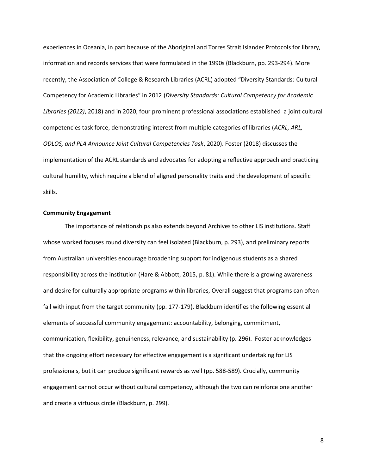experiences in Oceania, in part because of the Aboriginal and Torres Strait Islander Protocols for library, information and records services that were formulated in the 1990s (Blackburn, pp. 293-294). More recently, the Association of College & Research Libraries (ACRL) adopted "Diversity Standards: Cultural Competency for Academic Libraries" in 2012 (*Diversity Standards: Cultural Competency for Academic Libraries (2012)*, 2018) and in 2020, four prominent professional associations established a joint cultural competencies task force, demonstrating interest from multiple categories of libraries (*ACRL, ARL, ODLOS, and PLA Announce Joint Cultural Competencies Task*, 2020). Foster (2018) discusses the implementation of the ACRL standards and advocates for adopting a reflective approach and practicing cultural humility, which require a blend of aligned personality traits and the development of specific skills.

#### **Community Engagement**

The importance of relationships also extends beyond Archives to other LIS institutions. Staff whose worked focuses round diversity can feel isolated (Blackburn, p. 293), and preliminary reports from Australian universities encourage broadening support for indigenous students as a shared responsibility across the institution (Hare & Abbott, 2015, p. 81). While there is a growing awareness and desire for culturally appropriate programs within libraries, Overall suggest that programs can often fail with input from the target community (pp. 177-179). Blackburn identifies the following essential elements of successful community engagement: accountability, belonging, commitment, communication, flexibility, genuineness, relevance, and sustainability (p. 296). Foster acknowledges that the ongoing effort necessary for effective engagement is a significant undertaking for LIS professionals, but it can produce significant rewards as well (pp. 588-589). Crucially, community engagement cannot occur without cultural competency, although the two can reinforce one another and create a virtuous circle (Blackburn, p. 299).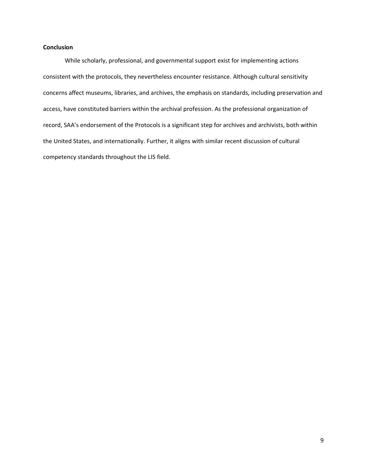# **Conclusion**

While scholarly, professional, and governmental support exist for implementing actions consistent with the protocols, they nevertheless encounter resistance. Although cultural sensitivity concerns affect museums, libraries, and archives, the emphasis on standards, including preservation and access, have constituted barriers within the archival profession. As the professional organization of record, SAA's endorsement of the Protocols is a significant step for archives and archivists, both within the United States, and internationally. Further, it aligns with similar recent discussion of cultural competency standards throughout the LIS field.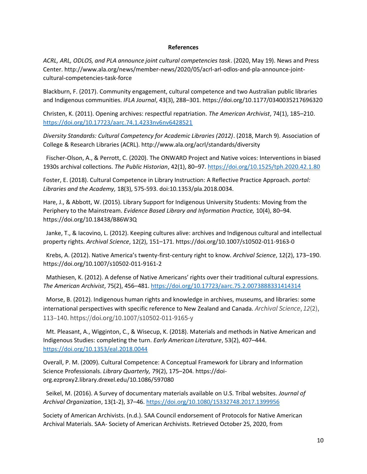# **References**

*ACRL, ARL, ODLOS, and PLA announce joint cultural competencies task*. (2020, May 19). News and Press Center. http://www.ala.org/news/member-news/2020/05/acrl-arl-odlos-and-pla-announce-jointcultural-competencies-task-force

Blackburn, F. (2017). Community engagement, cultural competence and two Australian public libraries and Indigenous communities. *IFLA Journal*, 43(3), 288–301. https://doi.org/10.1177/0340035217696320

Christen, K. (2011). Opening archives: respectful repatriation. *The American Archivist*, 74(1), 185–210. <https://doi.org/10.17723/aarc.74.1.4233nv6nv6428521>

*Diversity Standards: Cultural Competency for Academic Libraries (2012)*. (2018, March 9). Association of College & Research Libraries (ACRL). http://www.ala.org/acrl/standards/diversity

 Fischer-Olson, A., & Perrott, C. (2020). The ONWARD Project and Native voices: Interventions in biased 1930s archival collections. *The Public Historian*, 42(1), 80–97[. https://doi.org/10.1525/tph.2020.42.1.80](https://doi.org/10.1525/tph.2020.42.1.80)

Foster, E. (2018). Cultural Competence in Library Instruction: A Reflective Practice Approach. *portal: Libraries and the Academy,* 18(3), 575-593. doi:10.1353/pla.2018.0034.

Hare, J., & Abbott, W. (2015). Library Support for Indigenous University Students: Moving from the Periphery to the Mainstream. *Evidence Based Library and Information Practice,* 10(4), 80–94. https://doi.org/10.18438/B86W3Q

 Janke, T., & Iacovino, L. (2012). Keeping cultures alive: archives and Indigenous cultural and intellectual property rights. *Archival Science*, 12(2), 151–171. https://doi.org/10.1007/s10502-011-9163-0

 Krebs, A. (2012). Native America's twenty-first-century right to know. *Archival Science*, 12(2), 173–190. https://doi.org/10.1007/s10502-011-9161-2

 Mathiesen, K. (2012). A defense of Native Americans' rights over their traditional cultural expressions. *The American Archivist*, 75(2), 456–481.<https://doi.org/10.17723/aarc.75.2.0073888331414314>

 Morse, B. (2012). Indigenous human rights and knowledge in archives, museums, and libraries: some international perspectives with specific reference to New Zealand and Canada. *Archival Science*, *12*(2), 113–140. https://doi.org/10.1007/s10502-011-9165-y

 Mt. Pleasant, A., Wigginton, C., & Wisecup, K. (2018). Materials and methods in Native American and Indigenous Studies: completing the turn. *Early American Literature*, 53(2), 407–444. <https://doi.org/10.1353/eal.2018.0044>

Overall, P. M. (2009). Cultural Competence: A Conceptual Framework for Library and Information Science Professionals. *Library Quarterly,* 79(2), 175–204. https://doiorg.ezproxy2.library.drexel.edu/10.1086/597080

 Seikel, M. (2016). A Survey of documentary materials available on U.S. Tribal websites. *Journal of Archival Organization*, 13(1-2), 37–46.<https://doi.org/10.1080/15332748.2017.1399956>

Society of American Archivists. (n.d.). SAA Council endorsement of Protocols for Native American Archival Materials. SAA- Society of American Archivists. Retrieved October 25, 2020, from